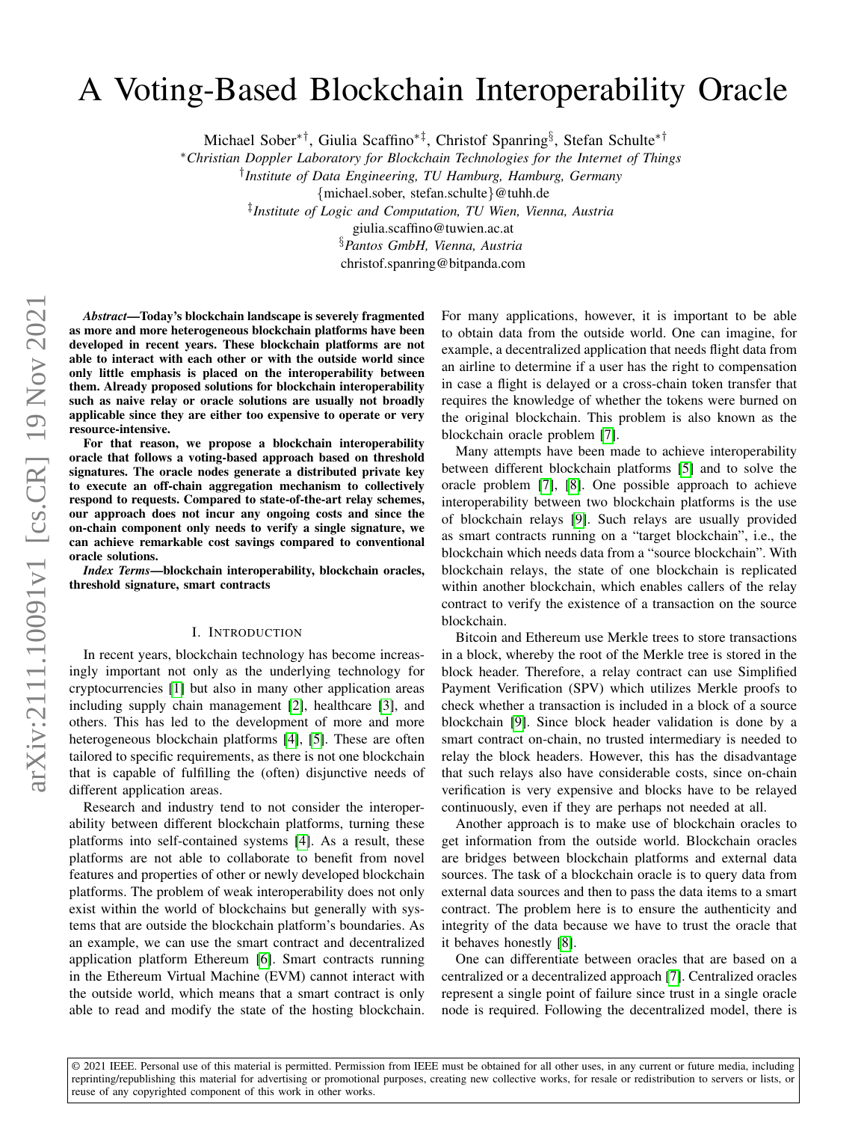# A Voting-Based Blockchain Interoperability Oracle

Michael Sober∗†, Giulia Scaffino∗‡, Christof Spanring§ , Stefan Schulte∗†

<sup>∗</sup>*Christian Doppler Laboratory for Blockchain Technologies for the Internet of Things*

† *Institute of Data Engineering, TU Hamburg, Hamburg, Germany*

{michael.sober, stefan.schulte}@tuhh.de

‡ *Institute of Logic and Computation, TU Wien, Vienna, Austria*

giulia.scaffino@tuwien.ac.at

§*Pantos GmbH, Vienna, Austria*

christof.spanring@bitpanda.com

*Abstract*—Today's blockchain landscape is severely fragmented as more and more heterogeneous blockchain platforms have been developed in recent years. These blockchain platforms are not able to interact with each other or with the outside world since only little emphasis is placed on the interoperability between them. Already proposed solutions for blockchain interoperability such as naive relay or oracle solutions are usually not broadly applicable since they are either too expensive to operate or very resource-intensive.

For that reason, we propose a blockchain interoperability oracle that follows a voting-based approach based on threshold signatures. The oracle nodes generate a distributed private key to execute an off-chain aggregation mechanism to collectively respond to requests. Compared to state-of-the-art relay schemes, our approach does not incur any ongoing costs and since the on-chain component only needs to verify a single signature, we can achieve remarkable cost savings compared to conventional oracle solutions.

*Index Terms*—blockchain interoperability, blockchain oracles, threshold signature, smart contracts

### I. INTRODUCTION

In recent years, blockchain technology has become increasingly important not only as the underlying technology for cryptocurrencies [\[1\]](#page-9-0) but also in many other application areas including supply chain management [\[2\]](#page-9-1), healthcare [\[3\]](#page-9-2), and others. This has led to the development of more and more heterogeneous blockchain platforms [\[4\]](#page-9-3), [\[5\]](#page-9-4). These are often tailored to specific requirements, as there is not one blockchain that is capable of fulfilling the (often) disjunctive needs of different application areas.

Research and industry tend to not consider the interoperability between different blockchain platforms, turning these platforms into self-contained systems [\[4\]](#page-9-3). As a result, these platforms are not able to collaborate to benefit from novel features and properties of other or newly developed blockchain platforms. The problem of weak interoperability does not only exist within the world of blockchains but generally with systems that are outside the blockchain platform's boundaries. As an example, we can use the smart contract and decentralized application platform Ethereum [\[6\]](#page-9-5). Smart contracts running in the Ethereum Virtual Machine (EVM) cannot interact with the outside world, which means that a smart contract is only able to read and modify the state of the hosting blockchain. For many applications, however, it is important to be able to obtain data from the outside world. One can imagine, for example, a decentralized application that needs flight data from an airline to determine if a user has the right to compensation in case a flight is delayed or a cross-chain token transfer that requires the knowledge of whether the tokens were burned on the original blockchain. This problem is also known as the blockchain oracle problem [\[7\]](#page-9-6).

Many attempts have been made to achieve interoperability between different blockchain platforms [\[5\]](#page-9-4) and to solve the oracle problem [\[7\]](#page-9-6), [\[8\]](#page-9-7). One possible approach to achieve interoperability between two blockchain platforms is the use of blockchain relays [\[9\]](#page-9-8). Such relays are usually provided as smart contracts running on a "target blockchain", i.e., the blockchain which needs data from a "source blockchain". With blockchain relays, the state of one blockchain is replicated within another blockchain, which enables callers of the relay contract to verify the existence of a transaction on the source blockchain.

Bitcoin and Ethereum use Merkle trees to store transactions in a block, whereby the root of the Merkle tree is stored in the block header. Therefore, a relay contract can use Simplified Payment Verification (SPV) which utilizes Merkle proofs to check whether a transaction is included in a block of a source blockchain [\[9\]](#page-9-8). Since block header validation is done by a smart contract on-chain, no trusted intermediary is needed to relay the block headers. However, this has the disadvantage that such relays also have considerable costs, since on-chain verification is very expensive and blocks have to be relayed continuously, even if they are perhaps not needed at all.

Another approach is to make use of blockchain oracles to get information from the outside world. Blockchain oracles are bridges between blockchain platforms and external data sources. The task of a blockchain oracle is to query data from external data sources and then to pass the data items to a smart contract. The problem here is to ensure the authenticity and integrity of the data because we have to trust the oracle that it behaves honestly [\[8\]](#page-9-7).

One can differentiate between oracles that are based on a centralized or a decentralized approach [\[7\]](#page-9-6). Centralized oracles represent a single point of failure since trust in a single oracle node is required. Following the decentralized model, there is

© 2021 IEEE. Personal use of this material is permitted. Permission from IEEE must be obtained for all other uses, in any current or future media, including reprinting/republishing this material for advertising or promotional purposes, creating new collective works, for resale or redistribution to servers or lists, or reuse of any copyrighted component of this work in other works.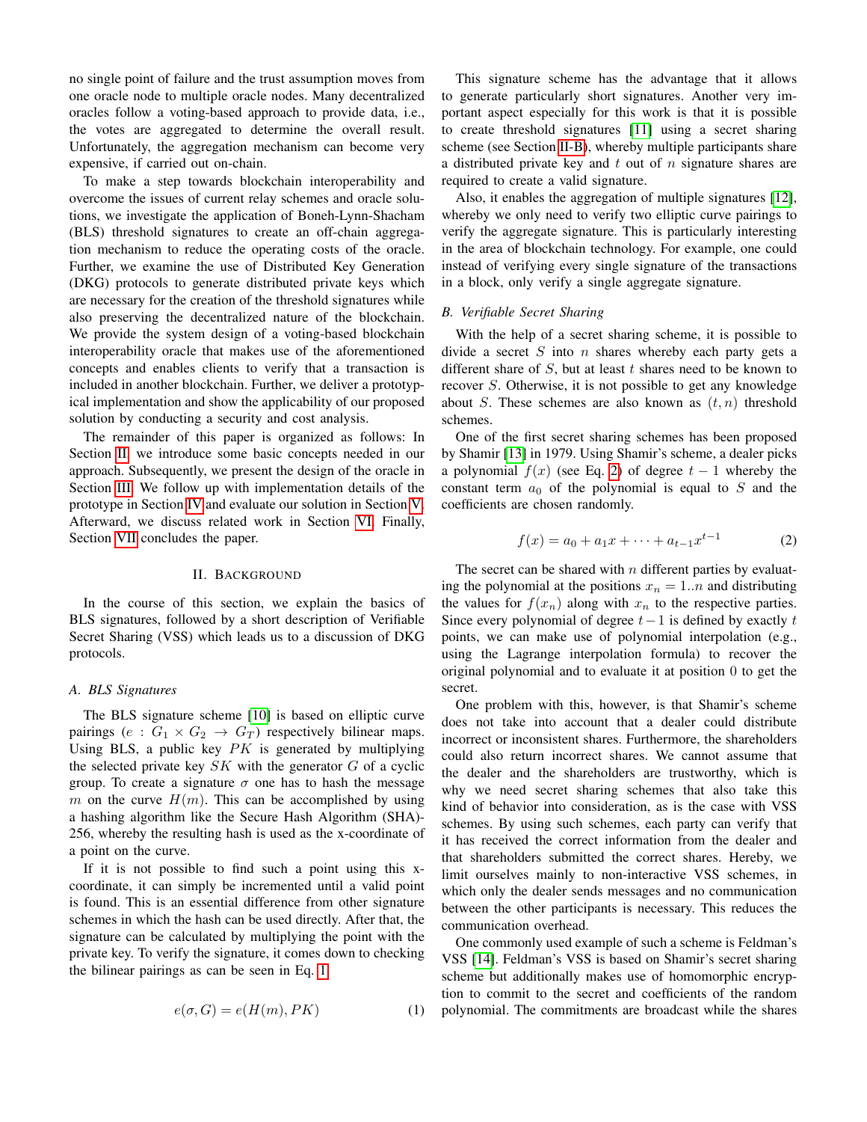no single point of failure and the trust assumption moves from one oracle node to multiple oracle nodes. Many decentralized oracles follow a voting-based approach to provide data, i.e., the votes are aggregated to determine the overall result. Unfortunately, the aggregation mechanism can become very expensive, if carried out on-chain.

To make a step towards blockchain interoperability and overcome the issues of current relay schemes and oracle solutions, we investigate the application of Boneh-Lynn-Shacham (BLS) threshold signatures to create an off-chain aggregation mechanism to reduce the operating costs of the oracle. Further, we examine the use of Distributed Key Generation (DKG) protocols to generate distributed private keys which are necessary for the creation of the threshold signatures while also preserving the decentralized nature of the blockchain. We provide the system design of a voting-based blockchain interoperability oracle that makes use of the aforementioned concepts and enables clients to verify that a transaction is included in another blockchain. Further, we deliver a prototypical implementation and show the applicability of our proposed solution by conducting a security and cost analysis.

The remainder of this paper is organized as follows: In Section [II,](#page-1-0) we introduce some basic concepts needed in our approach. Subsequently, we present the design of the oracle in Section [III.](#page-2-0) We follow up with implementation details of the prototype in Section [IV](#page-5-0) and evaluate our solution in Section [V.](#page-5-1) Afterward, we discuss related work in Section [VI.](#page-8-0) Finally, Section [VII](#page-9-9) concludes the paper.

#### II. BACKGROUND

<span id="page-1-0"></span>In the course of this section, we explain the basics of BLS signatures, followed by a short description of Verifiable Secret Sharing (VSS) which leads us to a discussion of DKG protocols.

#### *A. BLS Signatures*

The BLS signature scheme [\[10\]](#page-9-10) is based on elliptic curve pairings (e :  $G_1 \times G_2 \rightarrow G_T$ ) respectively bilinear maps. Using BLS, a public key  $PK$  is generated by multiplying the selected private key  $SK$  with the generator  $G$  of a cyclic group. To create a signature  $\sigma$  one has to hash the message m on the curve  $H(m)$ . This can be accomplished by using a hashing algorithm like the Secure Hash Algorithm (SHA)- 256, whereby the resulting hash is used as the x-coordinate of a point on the curve.

If it is not possible to find such a point using this xcoordinate, it can simply be incremented until a valid point is found. This is an essential difference from other signature schemes in which the hash can be used directly. After that, the signature can be calculated by multiplying the point with the private key. To verify the signature, it comes down to checking the bilinear pairings as can be seen in Eq. [1.](#page-1-1)

<span id="page-1-1"></span>
$$
e(\sigma, G) = e(H(m), PK)
$$
 (1)

This signature scheme has the advantage that it allows to generate particularly short signatures. Another very important aspect especially for this work is that it is possible to create threshold signatures [\[11\]](#page-9-11) using a secret sharing scheme (see Section [II-B\)](#page-1-2), whereby multiple participants share a distributed private key and  $t$  out of  $n$  signature shares are required to create a valid signature.

Also, it enables the aggregation of multiple signatures [\[12\]](#page-9-12), whereby we only need to verify two elliptic curve pairings to verify the aggregate signature. This is particularly interesting in the area of blockchain technology. For example, one could instead of verifying every single signature of the transactions in a block, only verify a single aggregate signature.

## <span id="page-1-2"></span>*B. Verifiable Secret Sharing*

With the help of a secret sharing scheme, it is possible to divide a secret  $S$  into  $n$  shares whereby each party gets a different share of  $S$ , but at least  $t$  shares need to be known to recover S. Otherwise, it is not possible to get any knowledge about S. These schemes are also known as  $(t, n)$  threshold schemes.

One of the first secret sharing schemes has been proposed by Shamir [\[13\]](#page-9-13) in 1979. Using Shamir's scheme, a dealer picks a polynomial  $f(x)$  (see Eq. [2\)](#page-1-3) of degree  $t-1$  whereby the constant term  $a_0$  of the polynomial is equal to S and the coefficients are chosen randomly.

<span id="page-1-3"></span>
$$
f(x) = a_0 + a_1 x + \dots + a_{t-1} x^{t-1}
$$
 (2)

The secret can be shared with  $n$  different parties by evaluating the polynomial at the positions  $x_n = 1..n$  and distributing the values for  $f(x_n)$  along with  $x_n$  to the respective parties. Since every polynomial of degree  $t-1$  is defined by exactly  $t$ points, we can make use of polynomial interpolation (e.g., using the Lagrange interpolation formula) to recover the original polynomial and to evaluate it at position 0 to get the secret.

One problem with this, however, is that Shamir's scheme does not take into account that a dealer could distribute incorrect or inconsistent shares. Furthermore, the shareholders could also return incorrect shares. We cannot assume that the dealer and the shareholders are trustworthy, which is why we need secret sharing schemes that also take this kind of behavior into consideration, as is the case with VSS schemes. By using such schemes, each party can verify that it has received the correct information from the dealer and that shareholders submitted the correct shares. Hereby, we limit ourselves mainly to non-interactive VSS schemes, in which only the dealer sends messages and no communication between the other participants is necessary. This reduces the communication overhead.

One commonly used example of such a scheme is Feldman's VSS [\[14\]](#page-9-14). Feldman's VSS is based on Shamir's secret sharing scheme but additionally makes use of homomorphic encryption to commit to the secret and coefficients of the random polynomial. The commitments are broadcast while the shares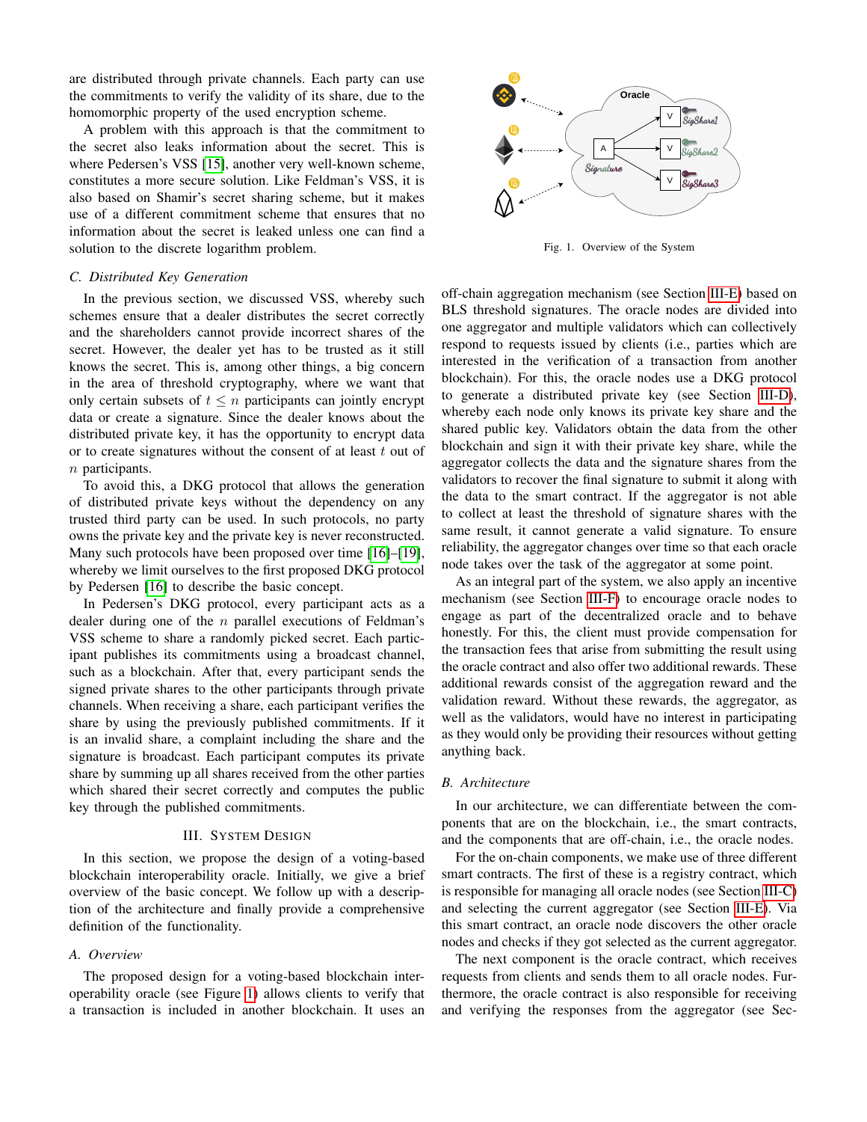are distributed through private channels. Each party can use the commitments to verify the validity of its share, due to the homomorphic property of the used encryption scheme.

A problem with this approach is that the commitment to the secret also leaks information about the secret. This is where Pedersen's VSS [\[15\]](#page-9-15), another very well-known scheme, constitutes a more secure solution. Like Feldman's VSS, it is also based on Shamir's secret sharing scheme, but it makes use of a different commitment scheme that ensures that no information about the secret is leaked unless one can find a solution to the discrete logarithm problem.

## <span id="page-2-2"></span>*C. Distributed Key Generation*

In the previous section, we discussed VSS, whereby such schemes ensure that a dealer distributes the secret correctly and the shareholders cannot provide incorrect shares of the secret. However, the dealer yet has to be trusted as it still knows the secret. This is, among other things, a big concern in the area of threshold cryptography, where we want that only certain subsets of  $t \leq n$  participants can jointly encrypt data or create a signature. Since the dealer knows about the distributed private key, it has the opportunity to encrypt data or to create signatures without the consent of at least  $t$  out of  $n$  participants.

To avoid this, a DKG protocol that allows the generation of distributed private keys without the dependency on any trusted third party can be used. In such protocols, no party owns the private key and the private key is never reconstructed. Many such protocols have been proposed over time [\[16\]](#page-9-16)–[\[19\]](#page-9-17), whereby we limit ourselves to the first proposed DKG protocol by Pedersen [\[16\]](#page-9-16) to describe the basic concept.

In Pedersen's DKG protocol, every participant acts as a dealer during one of the  $n$  parallel executions of Feldman's VSS scheme to share a randomly picked secret. Each participant publishes its commitments using a broadcast channel, such as a blockchain. After that, every participant sends the signed private shares to the other participants through private channels. When receiving a share, each participant verifies the share by using the previously published commitments. If it is an invalid share, a complaint including the share and the signature is broadcast. Each participant computes its private share by summing up all shares received from the other parties which shared their secret correctly and computes the public key through the published commitments.

#### III. SYSTEM DESIGN

<span id="page-2-0"></span>In this section, we propose the design of a voting-based blockchain interoperability oracle. Initially, we give a brief overview of the basic concept. We follow up with a description of the architecture and finally provide a comprehensive definition of the functionality.

#### *A. Overview*

The proposed design for a voting-based blockchain interoperability oracle (see Figure [1\)](#page-2-1) allows clients to verify that a transaction is included in another blockchain. It uses an



<span id="page-2-1"></span>Fig. 1. Overview of the System

off-chain aggregation mechanism (see Section [III-E\)](#page-3-0) based on BLS threshold signatures. The oracle nodes are divided into one aggregator and multiple validators which can collectively respond to requests issued by clients (i.e., parties which are interested in the verification of a transaction from another blockchain). For this, the oracle nodes use a DKG protocol to generate a distributed private key (see Section [III-D\)](#page-3-1), whereby each node only knows its private key share and the shared public key. Validators obtain the data from the other blockchain and sign it with their private key share, while the aggregator collects the data and the signature shares from the validators to recover the final signature to submit it along with the data to the smart contract. If the aggregator is not able to collect at least the threshold of signature shares with the same result, it cannot generate a valid signature. To ensure reliability, the aggregator changes over time so that each oracle node takes over the task of the aggregator at some point.

As an integral part of the system, we also apply an incentive mechanism (see Section [III-F\)](#page-4-0) to encourage oracle nodes to engage as part of the decentralized oracle and to behave honestly. For this, the client must provide compensation for the transaction fees that arise from submitting the result using the oracle contract and also offer two additional rewards. These additional rewards consist of the aggregation reward and the validation reward. Without these rewards, the aggregator, as well as the validators, would have no interest in participating as they would only be providing their resources without getting anything back.

## *B. Architecture*

In our architecture, we can differentiate between the components that are on the blockchain, i.e., the smart contracts, and the components that are off-chain, i.e., the oracle nodes.

For the on-chain components, we make use of three different smart contracts. The first of these is a registry contract, which is responsible for managing all oracle nodes (see Section [III-C\)](#page-3-2) and selecting the current aggregator (see Section [III-E\)](#page-3-0). Via this smart contract, an oracle node discovers the other oracle nodes and checks if they got selected as the current aggregator.

The next component is the oracle contract, which receives requests from clients and sends them to all oracle nodes. Furthermore, the oracle contract is also responsible for receiving and verifying the responses from the aggregator (see Sec-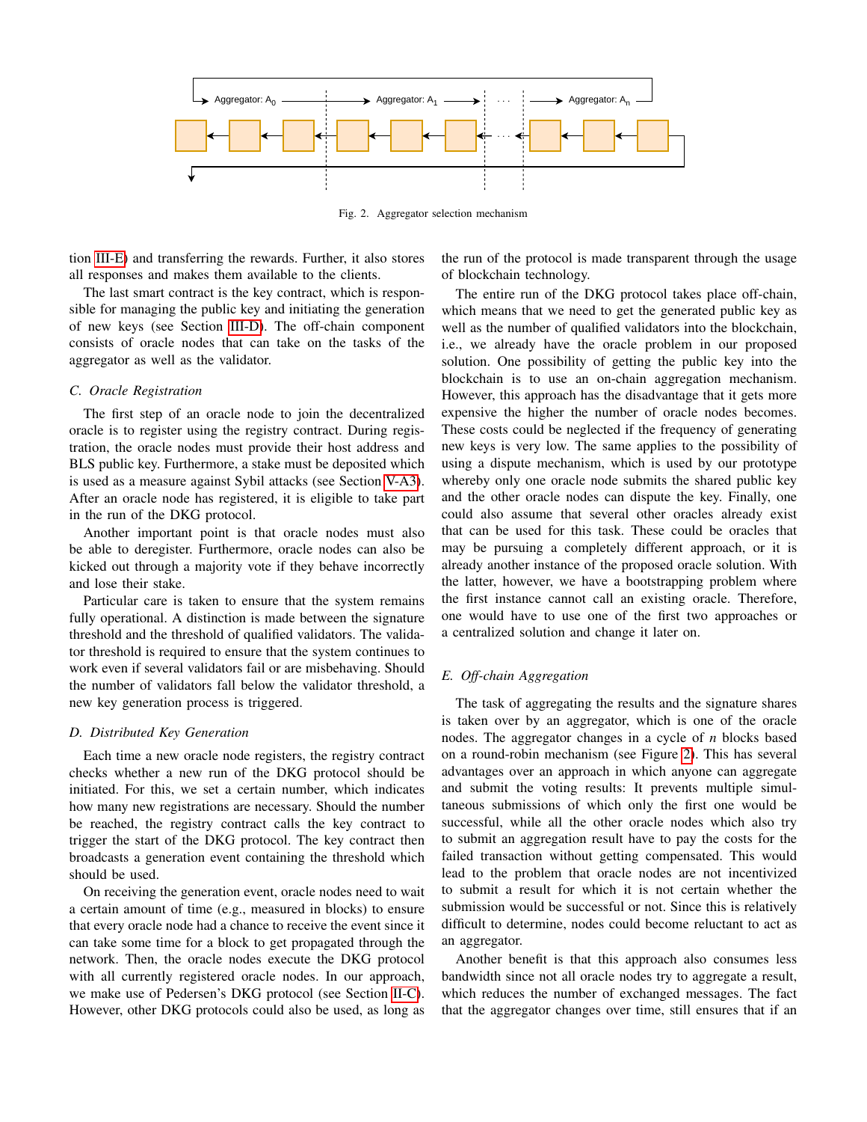

<span id="page-3-3"></span>Fig. 2. Aggregator selection mechanism

tion [III-E\)](#page-3-0) and transferring the rewards. Further, it also stores all responses and makes them available to the clients.

The last smart contract is the key contract, which is responsible for managing the public key and initiating the generation of new keys (see Section [III-D\)](#page-3-1). The off-chain component consists of oracle nodes that can take on the tasks of the aggregator as well as the validator.

## <span id="page-3-2"></span>*C. Oracle Registration*

The first step of an oracle node to join the decentralized oracle is to register using the registry contract. During registration, the oracle nodes must provide their host address and BLS public key. Furthermore, a stake must be deposited which is used as a measure against Sybil attacks (see Section [V-A3\)](#page-6-0). After an oracle node has registered, it is eligible to take part in the run of the DKG protocol.

Another important point is that oracle nodes must also be able to deregister. Furthermore, oracle nodes can also be kicked out through a majority vote if they behave incorrectly and lose their stake.

Particular care is taken to ensure that the system remains fully operational. A distinction is made between the signature threshold and the threshold of qualified validators. The validator threshold is required to ensure that the system continues to work even if several validators fail or are misbehaving. Should the number of validators fall below the validator threshold, a new key generation process is triggered.

## <span id="page-3-1"></span>*D. Distributed Key Generation*

Each time a new oracle node registers, the registry contract checks whether a new run of the DKG protocol should be initiated. For this, we set a certain number, which indicates how many new registrations are necessary. Should the number be reached, the registry contract calls the key contract to trigger the start of the DKG protocol. The key contract then broadcasts a generation event containing the threshold which should be used.

On receiving the generation event, oracle nodes need to wait a certain amount of time (e.g., measured in blocks) to ensure that every oracle node had a chance to receive the event since it can take some time for a block to get propagated through the network. Then, the oracle nodes execute the DKG protocol with all currently registered oracle nodes. In our approach, we make use of Pedersen's DKG protocol (see Section [II-C\)](#page-2-2). However, other DKG protocols could also be used, as long as

the run of the protocol is made transparent through the usage of blockchain technology.

The entire run of the DKG protocol takes place off-chain, which means that we need to get the generated public key as well as the number of qualified validators into the blockchain, i.e., we already have the oracle problem in our proposed solution. One possibility of getting the public key into the blockchain is to use an on-chain aggregation mechanism. However, this approach has the disadvantage that it gets more expensive the higher the number of oracle nodes becomes. These costs could be neglected if the frequency of generating new keys is very low. The same applies to the possibility of using a dispute mechanism, which is used by our prototype whereby only one oracle node submits the shared public key and the other oracle nodes can dispute the key. Finally, one could also assume that several other oracles already exist that can be used for this task. These could be oracles that may be pursuing a completely different approach, or it is already another instance of the proposed oracle solution. With the latter, however, we have a bootstrapping problem where the first instance cannot call an existing oracle. Therefore, one would have to use one of the first two approaches or a centralized solution and change it later on.

# <span id="page-3-0"></span>*E. Off-chain Aggregation*

The task of aggregating the results and the signature shares is taken over by an aggregator, which is one of the oracle nodes. The aggregator changes in a cycle of *n* blocks based on a round-robin mechanism (see Figure [2\)](#page-3-3). This has several advantages over an approach in which anyone can aggregate and submit the voting results: It prevents multiple simultaneous submissions of which only the first one would be successful, while all the other oracle nodes which also try to submit an aggregation result have to pay the costs for the failed transaction without getting compensated. This would lead to the problem that oracle nodes are not incentivized to submit a result for which it is not certain whether the submission would be successful or not. Since this is relatively difficult to determine, nodes could become reluctant to act as an aggregator.

Another benefit is that this approach also consumes less bandwidth since not all oracle nodes try to aggregate a result, which reduces the number of exchanged messages. The fact that the aggregator changes over time, still ensures that if an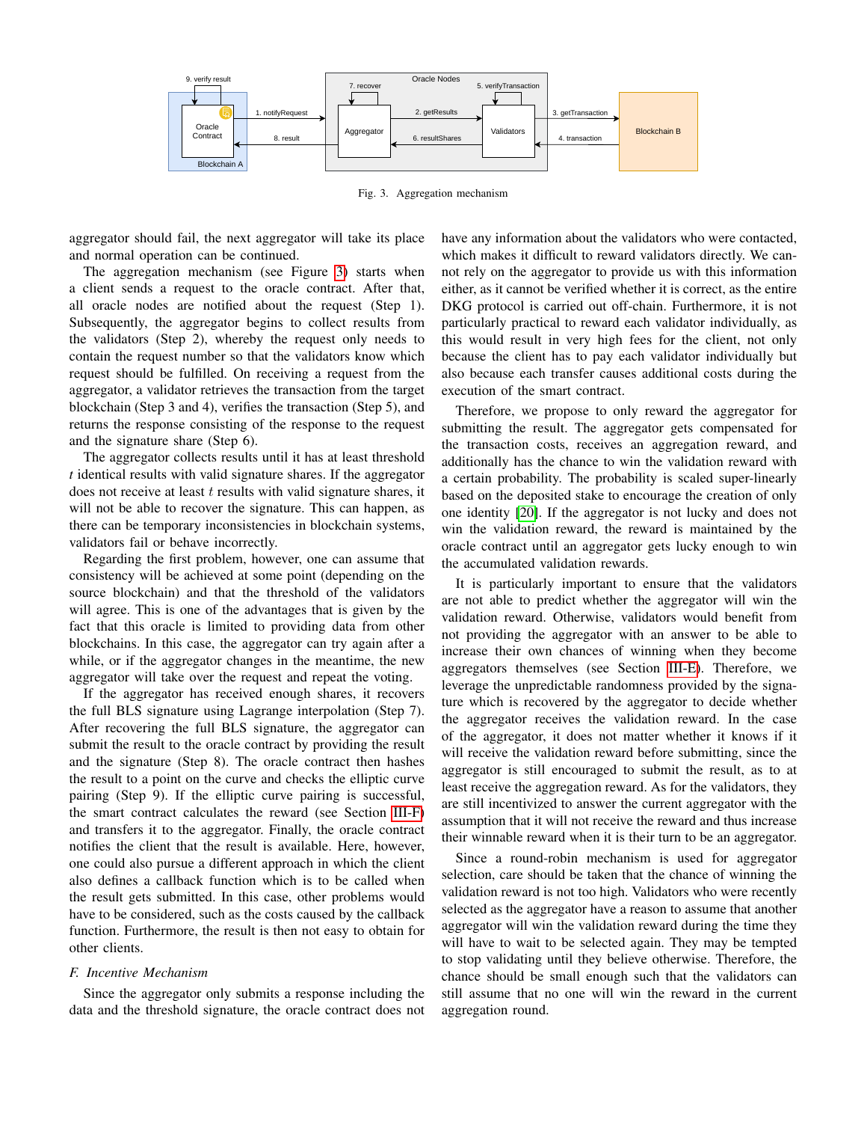

<span id="page-4-1"></span>Fig. 3. Aggregation mechanism

aggregator should fail, the next aggregator will take its place and normal operation can be continued.

The aggregation mechanism (see Figure [3\)](#page-4-1) starts when a client sends a request to the oracle contract. After that, all oracle nodes are notified about the request (Step 1). Subsequently, the aggregator begins to collect results from the validators (Step 2), whereby the request only needs to contain the request number so that the validators know which request should be fulfilled. On receiving a request from the aggregator, a validator retrieves the transaction from the target blockchain (Step 3 and 4), verifies the transaction (Step 5), and returns the response consisting of the response to the request and the signature share (Step 6).

The aggregator collects results until it has at least threshold *t* identical results with valid signature shares. If the aggregator does not receive at least  $t$  results with valid signature shares, it will not be able to recover the signature. This can happen, as there can be temporary inconsistencies in blockchain systems, validators fail or behave incorrectly.

Regarding the first problem, however, one can assume that consistency will be achieved at some point (depending on the source blockchain) and that the threshold of the validators will agree. This is one of the advantages that is given by the fact that this oracle is limited to providing data from other blockchains. In this case, the aggregator can try again after a while, or if the aggregator changes in the meantime, the new aggregator will take over the request and repeat the voting.

If the aggregator has received enough shares, it recovers the full BLS signature using Lagrange interpolation (Step 7). After recovering the full BLS signature, the aggregator can submit the result to the oracle contract by providing the result and the signature (Step 8). The oracle contract then hashes the result to a point on the curve and checks the elliptic curve pairing (Step 9). If the elliptic curve pairing is successful, the smart contract calculates the reward (see Section [III-F\)](#page-4-0) and transfers it to the aggregator. Finally, the oracle contract notifies the client that the result is available. Here, however, one could also pursue a different approach in which the client also defines a callback function which is to be called when the result gets submitted. In this case, other problems would have to be considered, such as the costs caused by the callback function. Furthermore, the result is then not easy to obtain for other clients.

## <span id="page-4-0"></span>*F. Incentive Mechanism*

Since the aggregator only submits a response including the data and the threshold signature, the oracle contract does not have any information about the validators who were contacted, which makes it difficult to reward validators directly. We cannot rely on the aggregator to provide us with this information either, as it cannot be verified whether it is correct, as the entire DKG protocol is carried out off-chain. Furthermore, it is not particularly practical to reward each validator individually, as this would result in very high fees for the client, not only because the client has to pay each validator individually but also because each transfer causes additional costs during the execution of the smart contract.

Therefore, we propose to only reward the aggregator for submitting the result. The aggregator gets compensated for the transaction costs, receives an aggregation reward, and additionally has the chance to win the validation reward with a certain probability. The probability is scaled super-linearly based on the deposited stake to encourage the creation of only one identity [\[20\]](#page-9-18). If the aggregator is not lucky and does not win the validation reward, the reward is maintained by the oracle contract until an aggregator gets lucky enough to win the accumulated validation rewards.

It is particularly important to ensure that the validators are not able to predict whether the aggregator will win the validation reward. Otherwise, validators would benefit from not providing the aggregator with an answer to be able to increase their own chances of winning when they become aggregators themselves (see Section [III-E\)](#page-3-0). Therefore, we leverage the unpredictable randomness provided by the signature which is recovered by the aggregator to decide whether the aggregator receives the validation reward. In the case of the aggregator, it does not matter whether it knows if it will receive the validation reward before submitting, since the aggregator is still encouraged to submit the result, as to at least receive the aggregation reward. As for the validators, they are still incentivized to answer the current aggregator with the assumption that it will not receive the reward and thus increase their winnable reward when it is their turn to be an aggregator.

Since a round-robin mechanism is used for aggregator selection, care should be taken that the chance of winning the validation reward is not too high. Validators who were recently selected as the aggregator have a reason to assume that another aggregator will win the validation reward during the time they will have to wait to be selected again. They may be tempted to stop validating until they believe otherwise. Therefore, the chance should be small enough such that the validators can still assume that no one will win the reward in the current aggregation round.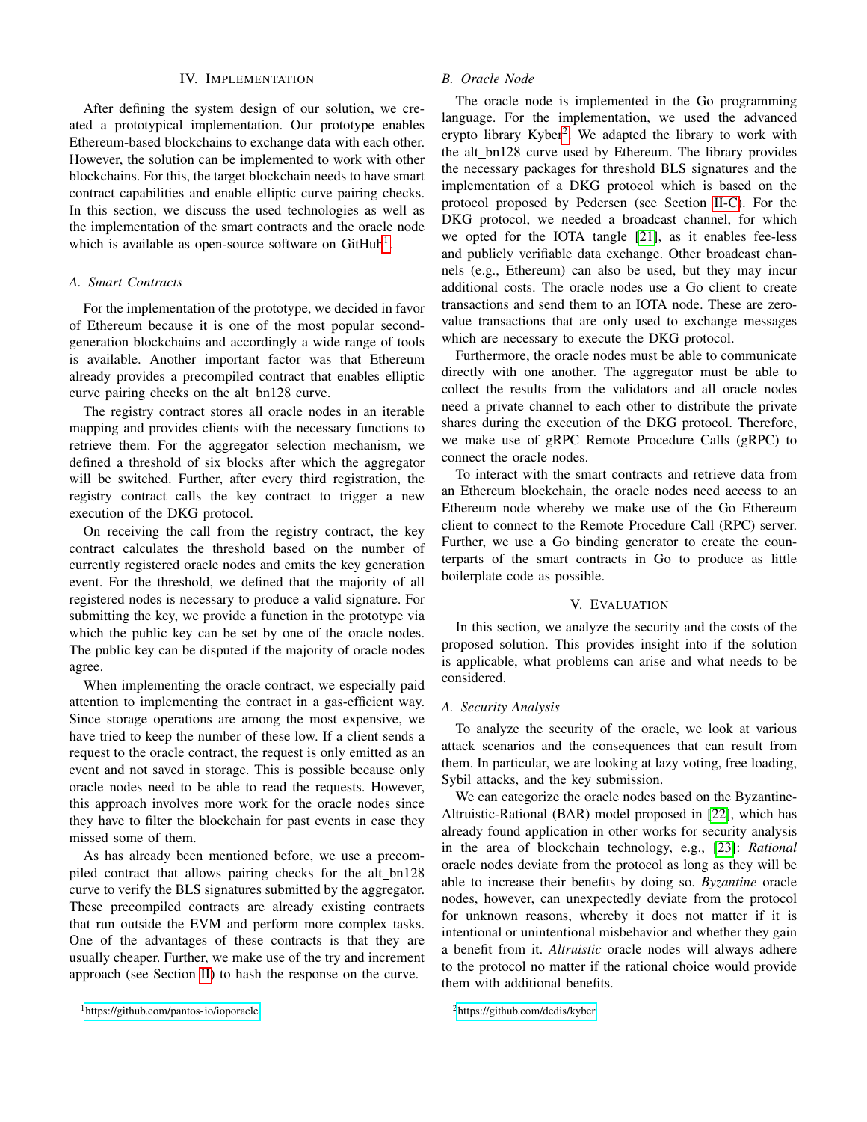#### IV. IMPLEMENTATION

<span id="page-5-0"></span>After defining the system design of our solution, we created a prototypical implementation. Our prototype enables Ethereum-based blockchains to exchange data with each other. However, the solution can be implemented to work with other blockchains. For this, the target blockchain needs to have smart contract capabilities and enable elliptic curve pairing checks. In this section, we discuss the used technologies as well as the implementation of the smart contracts and the oracle node which is available as open-source software on  $GitHub<sup>1</sup>$  $GitHub<sup>1</sup>$  $GitHub<sup>1</sup>$ .

#### *A. Smart Contracts*

For the implementation of the prototype, we decided in favor of Ethereum because it is one of the most popular secondgeneration blockchains and accordingly a wide range of tools is available. Another important factor was that Ethereum already provides a precompiled contract that enables elliptic curve pairing checks on the alt bn128 curve.

The registry contract stores all oracle nodes in an iterable mapping and provides clients with the necessary functions to retrieve them. For the aggregator selection mechanism, we defined a threshold of six blocks after which the aggregator will be switched. Further, after every third registration, the registry contract calls the key contract to trigger a new execution of the DKG protocol.

On receiving the call from the registry contract, the key contract calculates the threshold based on the number of currently registered oracle nodes and emits the key generation event. For the threshold, we defined that the majority of all registered nodes is necessary to produce a valid signature. For submitting the key, we provide a function in the prototype via which the public key can be set by one of the oracle nodes. The public key can be disputed if the majority of oracle nodes agree.

When implementing the oracle contract, we especially paid attention to implementing the contract in a gas-efficient way. Since storage operations are among the most expensive, we have tried to keep the number of these low. If a client sends a request to the oracle contract, the request is only emitted as an event and not saved in storage. This is possible because only oracle nodes need to be able to read the requests. However, this approach involves more work for the oracle nodes since they have to filter the blockchain for past events in case they missed some of them.

As has already been mentioned before, we use a precompiled contract that allows pairing checks for the alt\_bn128 curve to verify the BLS signatures submitted by the aggregator. These precompiled contracts are already existing contracts that run outside the EVM and perform more complex tasks. One of the advantages of these contracts is that they are usually cheaper. Further, we make use of the try and increment approach (see Section [II\)](#page-1-0) to hash the response on the curve.

## *B. Oracle Node*

The oracle node is implemented in the Go programming language. For the implementation, we used the advanced crypto library Kyber<sup>[2](#page-5-3)</sup>. We adapted the library to work with the alt bn128 curve used by Ethereum. The library provides the necessary packages for threshold BLS signatures and the implementation of a DKG protocol which is based on the protocol proposed by Pedersen (see Section [II-C\)](#page-2-2). For the DKG protocol, we needed a broadcast channel, for which we opted for the IOTA tangle [\[21\]](#page-9-19), as it enables fee-less and publicly verifiable data exchange. Other broadcast channels (e.g., Ethereum) can also be used, but they may incur additional costs. The oracle nodes use a Go client to create transactions and send them to an IOTA node. These are zerovalue transactions that are only used to exchange messages which are necessary to execute the DKG protocol.

Furthermore, the oracle nodes must be able to communicate directly with one another. The aggregator must be able to collect the results from the validators and all oracle nodes need a private channel to each other to distribute the private shares during the execution of the DKG protocol. Therefore, we make use of gRPC Remote Procedure Calls (gRPC) to connect the oracle nodes.

To interact with the smart contracts and retrieve data from an Ethereum blockchain, the oracle nodes need access to an Ethereum node whereby we make use of the Go Ethereum client to connect to the Remote Procedure Call (RPC) server. Further, we use a Go binding generator to create the counterparts of the smart contracts in Go to produce as little boilerplate code as possible.

#### V. EVALUATION

<span id="page-5-1"></span>In this section, we analyze the security and the costs of the proposed solution. This provides insight into if the solution is applicable, what problems can arise and what needs to be considered.

## *A. Security Analysis*

To analyze the security of the oracle, we look at various attack scenarios and the consequences that can result from them. In particular, we are looking at lazy voting, free loading, Sybil attacks, and the key submission.

We can categorize the oracle nodes based on the Byzantine-Altruistic-Rational (BAR) model proposed in [\[22\]](#page-9-20), which has already found application in other works for security analysis in the area of blockchain technology, e.g., [\[23\]](#page-9-21): *Rational* oracle nodes deviate from the protocol as long as they will be able to increase their benefits by doing so. *Byzantine* oracle nodes, however, can unexpectedly deviate from the protocol for unknown reasons, whereby it does not matter if it is intentional or unintentional misbehavior and whether they gain a benefit from it. *Altruistic* oracle nodes will always adhere to the protocol no matter if the rational choice would provide them with additional benefits.

<span id="page-5-2"></span><sup>1</sup><https://github.com/pantos-io/ioporacle>

<span id="page-5-3"></span><sup>2</sup><https://github.com/dedis/kyber>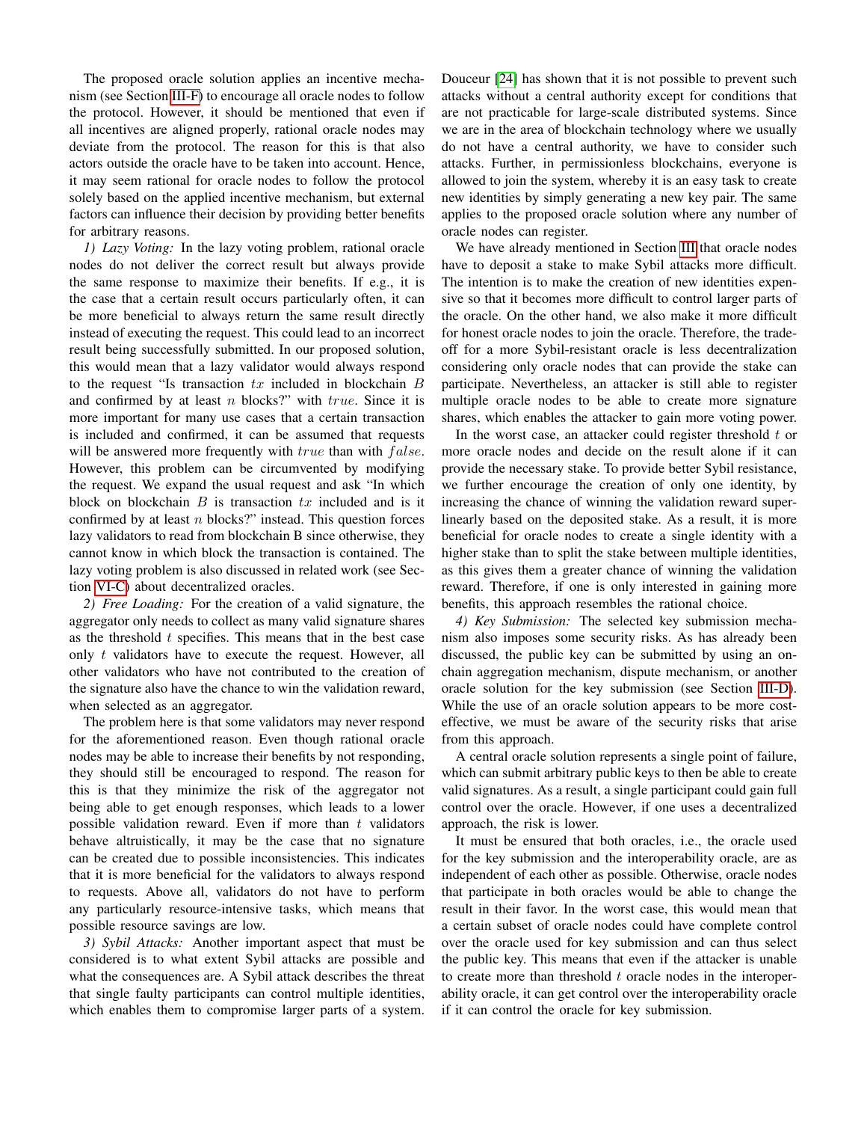The proposed oracle solution applies an incentive mechanism (see Section [III-F\)](#page-4-0) to encourage all oracle nodes to follow the protocol. However, it should be mentioned that even if all incentives are aligned properly, rational oracle nodes may deviate from the protocol. The reason for this is that also actors outside the oracle have to be taken into account. Hence, it may seem rational for oracle nodes to follow the protocol solely based on the applied incentive mechanism, but external factors can influence their decision by providing better benefits for arbitrary reasons.

*1) Lazy Voting:* In the lazy voting problem, rational oracle nodes do not deliver the correct result but always provide the same response to maximize their benefits. If e.g., it is the case that a certain result occurs particularly often, it can be more beneficial to always return the same result directly instead of executing the request. This could lead to an incorrect result being successfully submitted. In our proposed solution, this would mean that a lazy validator would always respond to the request "Is transaction  $tx$  included in blockchain  $B$ and confirmed by at least  $n$  blocks?" with  $true$ . Since it is more important for many use cases that a certain transaction is included and confirmed, it can be assumed that requests will be answered more frequently with  $true$  than with  $false$ . However, this problem can be circumvented by modifying the request. We expand the usual request and ask "In which block on blockchain  $B$  is transaction  $tx$  included and is it confirmed by at least  $n$  blocks?" instead. This question forces lazy validators to read from blockchain B since otherwise, they cannot know in which block the transaction is contained. The lazy voting problem is also discussed in related work (see Section [VI-C\)](#page-8-1) about decentralized oracles.

*2) Free Loading:* For the creation of a valid signature, the aggregator only needs to collect as many valid signature shares as the threshold  $t$  specifies. This means that in the best case only  $t$  validators have to execute the request. However, all other validators who have not contributed to the creation of the signature also have the chance to win the validation reward, when selected as an aggregator.

The problem here is that some validators may never respond for the aforementioned reason. Even though rational oracle nodes may be able to increase their benefits by not responding, they should still be encouraged to respond. The reason for this is that they minimize the risk of the aggregator not being able to get enough responses, which leads to a lower possible validation reward. Even if more than  $t$  validators behave altruistically, it may be the case that no signature can be created due to possible inconsistencies. This indicates that it is more beneficial for the validators to always respond to requests. Above all, validators do not have to perform any particularly resource-intensive tasks, which means that possible resource savings are low.

<span id="page-6-0"></span>*3) Sybil Attacks:* Another important aspect that must be considered is to what extent Sybil attacks are possible and what the consequences are. A Sybil attack describes the threat that single faulty participants can control multiple identities, which enables them to compromise larger parts of a system. Douceur [\[24\]](#page-9-22) has shown that it is not possible to prevent such attacks without a central authority except for conditions that are not practicable for large-scale distributed systems. Since we are in the area of blockchain technology where we usually do not have a central authority, we have to consider such attacks. Further, in permissionless blockchains, everyone is allowed to join the system, whereby it is an easy task to create new identities by simply generating a new key pair. The same applies to the proposed oracle solution where any number of oracle nodes can register.

We have already mentioned in Section [III](#page-2-0) that oracle nodes have to deposit a stake to make Sybil attacks more difficult. The intention is to make the creation of new identities expensive so that it becomes more difficult to control larger parts of the oracle. On the other hand, we also make it more difficult for honest oracle nodes to join the oracle. Therefore, the tradeoff for a more Sybil-resistant oracle is less decentralization considering only oracle nodes that can provide the stake can participate. Nevertheless, an attacker is still able to register multiple oracle nodes to be able to create more signature shares, which enables the attacker to gain more voting power.

In the worst case, an attacker could register threshold  $t$  or more oracle nodes and decide on the result alone if it can provide the necessary stake. To provide better Sybil resistance, we further encourage the creation of only one identity, by increasing the chance of winning the validation reward superlinearly based on the deposited stake. As a result, it is more beneficial for oracle nodes to create a single identity with a higher stake than to split the stake between multiple identities, as this gives them a greater chance of winning the validation reward. Therefore, if one is only interested in gaining more benefits, this approach resembles the rational choice.

*4) Key Submission:* The selected key submission mechanism also imposes some security risks. As has already been discussed, the public key can be submitted by using an onchain aggregation mechanism, dispute mechanism, or another oracle solution for the key submission (see Section [III-D\)](#page-3-1). While the use of an oracle solution appears to be more costeffective, we must be aware of the security risks that arise from this approach.

A central oracle solution represents a single point of failure, which can submit arbitrary public keys to then be able to create valid signatures. As a result, a single participant could gain full control over the oracle. However, if one uses a decentralized approach, the risk is lower.

It must be ensured that both oracles, i.e., the oracle used for the key submission and the interoperability oracle, are as independent of each other as possible. Otherwise, oracle nodes that participate in both oracles would be able to change the result in their favor. In the worst case, this would mean that a certain subset of oracle nodes could have complete control over the oracle used for key submission and can thus select the public key. This means that even if the attacker is unable to create more than threshold  $t$  oracle nodes in the interoperability oracle, it can get control over the interoperability oracle if it can control the oracle for key submission.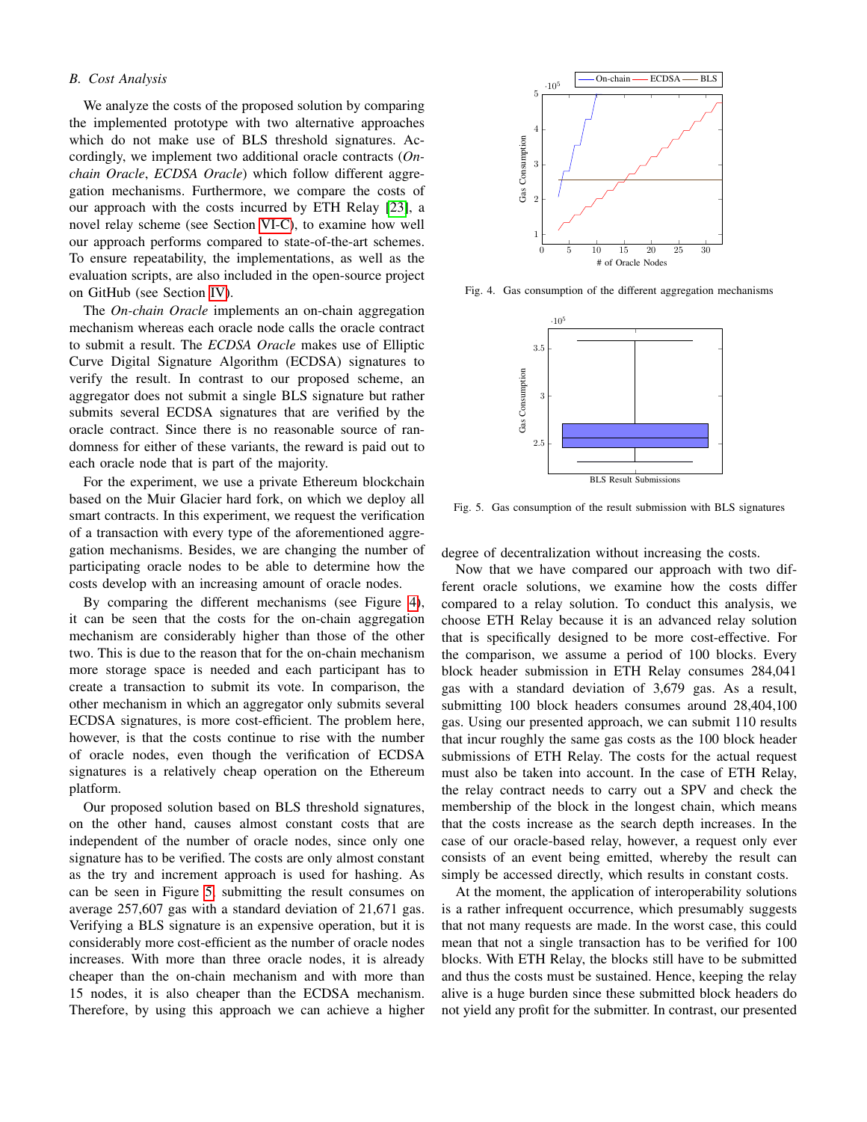## *B. Cost Analysis*

We analyze the costs of the proposed solution by comparing the implemented prototype with two alternative approaches which do not make use of BLS threshold signatures. Accordingly, we implement two additional oracle contracts (*Onchain Oracle*, *ECDSA Oracle*) which follow different aggregation mechanisms. Furthermore, we compare the costs of our approach with the costs incurred by ETH Relay [\[23\]](#page-9-21), a novel relay scheme (see Section [VI-C\)](#page-8-1), to examine how well our approach performs compared to state-of-the-art schemes. To ensure repeatability, the implementations, as well as the evaluation scripts, are also included in the open-source project on GitHub (see Section [IV\)](#page-5-0).

The *On-chain Oracle* implements an on-chain aggregation mechanism whereas each oracle node calls the oracle contract to submit a result. The *ECDSA Oracle* makes use of Elliptic Curve Digital Signature Algorithm (ECDSA) signatures to verify the result. In contrast to our proposed scheme, an aggregator does not submit a single BLS signature but rather submits several ECDSA signatures that are verified by the oracle contract. Since there is no reasonable source of randomness for either of these variants, the reward is paid out to each oracle node that is part of the majority.

For the experiment, we use a private Ethereum blockchain based on the Muir Glacier hard fork, on which we deploy all smart contracts. In this experiment, we request the verification of a transaction with every type of the aforementioned aggregation mechanisms. Besides, we are changing the number of participating oracle nodes to be able to determine how the costs develop with an increasing amount of oracle nodes.

By comparing the different mechanisms (see Figure [4\)](#page-7-0), it can be seen that the costs for the on-chain aggregation mechanism are considerably higher than those of the other two. This is due to the reason that for the on-chain mechanism more storage space is needed and each participant has to create a transaction to submit its vote. In comparison, the other mechanism in which an aggregator only submits several ECDSA signatures, is more cost-efficient. The problem here, however, is that the costs continue to rise with the number of oracle nodes, even though the verification of ECDSA signatures is a relatively cheap operation on the Ethereum platform.

Our proposed solution based on BLS threshold signatures, on the other hand, causes almost constant costs that are independent of the number of oracle nodes, since only one signature has to be verified. The costs are only almost constant as the try and increment approach is used for hashing. As can be seen in Figure [5,](#page-7-1) submitting the result consumes on average 257,607 gas with a standard deviation of 21,671 gas. Verifying a BLS signature is an expensive operation, but it is considerably more cost-efficient as the number of oracle nodes increases. With more than three oracle nodes, it is already cheaper than the on-chain mechanism and with more than 15 nodes, it is also cheaper than the ECDSA mechanism. Therefore, by using this approach we can achieve a higher



Fig. 4. Gas consumption of the different aggregation mechanisms

<span id="page-7-0"></span>

<span id="page-7-1"></span>Fig. 5. Gas consumption of the result submission with BLS signatures

degree of decentralization without increasing the costs.

Now that we have compared our approach with two different oracle solutions, we examine how the costs differ compared to a relay solution. To conduct this analysis, we choose ETH Relay because it is an advanced relay solution that is specifically designed to be more cost-effective. For the comparison, we assume a period of 100 blocks. Every block header submission in ETH Relay consumes 284,041 gas with a standard deviation of 3,679 gas. As a result, submitting 100 block headers consumes around 28,404,100 gas. Using our presented approach, we can submit 110 results that incur roughly the same gas costs as the 100 block header submissions of ETH Relay. The costs for the actual request must also be taken into account. In the case of ETH Relay, the relay contract needs to carry out a SPV and check the membership of the block in the longest chain, which means that the costs increase as the search depth increases. In the case of our oracle-based relay, however, a request only ever consists of an event being emitted, whereby the result can simply be accessed directly, which results in constant costs.

At the moment, the application of interoperability solutions is a rather infrequent occurrence, which presumably suggests that not many requests are made. In the worst case, this could mean that not a single transaction has to be verified for 100 blocks. With ETH Relay, the blocks still have to be submitted and thus the costs must be sustained. Hence, keeping the relay alive is a huge burden since these submitted block headers do not yield any profit for the submitter. In contrast, our presented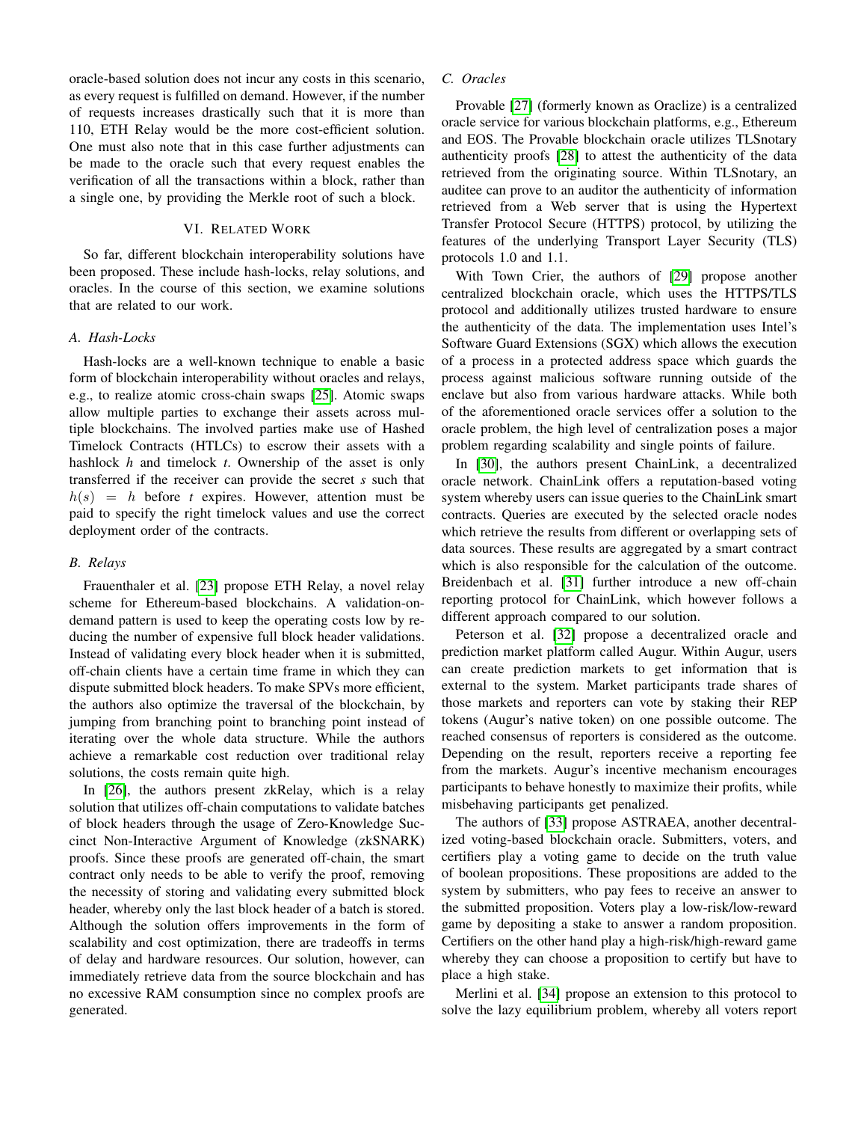oracle-based solution does not incur any costs in this scenario, as every request is fulfilled on demand. However, if the number of requests increases drastically such that it is more than 110, ETH Relay would be the more cost-efficient solution. One must also note that in this case further adjustments can be made to the oracle such that every request enables the verification of all the transactions within a block, rather than a single one, by providing the Merkle root of such a block.

## VI. RELATED WORK

<span id="page-8-0"></span>So far, different blockchain interoperability solutions have been proposed. These include hash-locks, relay solutions, and oracles. In the course of this section, we examine solutions that are related to our work.

#### *A. Hash-Locks*

Hash-locks are a well-known technique to enable a basic form of blockchain interoperability without oracles and relays, e.g., to realize atomic cross-chain swaps [\[25\]](#page-9-23). Atomic swaps allow multiple parties to exchange their assets across multiple blockchains. The involved parties make use of Hashed Timelock Contracts (HTLCs) to escrow their assets with a hashlock *h* and timelock *t*. Ownership of the asset is only transferred if the receiver can provide the secret *s* such that  $h(s) = h$  before *t* expires. However, attention must be paid to specify the right timelock values and use the correct deployment order of the contracts.

#### *B. Relays*

Frauenthaler et al. [\[23\]](#page-9-21) propose ETH Relay, a novel relay scheme for Ethereum-based blockchains. A validation-ondemand pattern is used to keep the operating costs low by reducing the number of expensive full block header validations. Instead of validating every block header when it is submitted, off-chain clients have a certain time frame in which they can dispute submitted block headers. To make SPVs more efficient, the authors also optimize the traversal of the blockchain, by jumping from branching point to branching point instead of iterating over the whole data structure. While the authors achieve a remarkable cost reduction over traditional relay solutions, the costs remain quite high.

In [\[26\]](#page-9-24), the authors present zkRelay, which is a relay solution that utilizes off-chain computations to validate batches of block headers through the usage of Zero-Knowledge Succinct Non-Interactive Argument of Knowledge (zkSNARK) proofs. Since these proofs are generated off-chain, the smart contract only needs to be able to verify the proof, removing the necessity of storing and validating every submitted block header, whereby only the last block header of a batch is stored. Although the solution offers improvements in the form of scalability and cost optimization, there are tradeoffs in terms of delay and hardware resources. Our solution, however, can immediately retrieve data from the source blockchain and has no excessive RAM consumption since no complex proofs are generated.

## <span id="page-8-1"></span>*C. Oracles*

Provable [\[27\]](#page-9-25) (formerly known as Oraclize) is a centralized oracle service for various blockchain platforms, e.g., Ethereum and EOS. The Provable blockchain oracle utilizes TLSnotary authenticity proofs [\[28\]](#page-9-26) to attest the authenticity of the data retrieved from the originating source. Within TLSnotary, an auditee can prove to an auditor the authenticity of information retrieved from a Web server that is using the Hypertext Transfer Protocol Secure (HTTPS) protocol, by utilizing the features of the underlying Transport Layer Security (TLS) protocols 1.0 and 1.1.

With Town Crier, the authors of [\[29\]](#page-9-27) propose another centralized blockchain oracle, which uses the HTTPS/TLS protocol and additionally utilizes trusted hardware to ensure the authenticity of the data. The implementation uses Intel's Software Guard Extensions (SGX) which allows the execution of a process in a protected address space which guards the process against malicious software running outside of the enclave but also from various hardware attacks. While both of the aforementioned oracle services offer a solution to the oracle problem, the high level of centralization poses a major problem regarding scalability and single points of failure.

In [\[30\]](#page-9-28), the authors present ChainLink, a decentralized oracle network. ChainLink offers a reputation-based voting system whereby users can issue queries to the ChainLink smart contracts. Queries are executed by the selected oracle nodes which retrieve the results from different or overlapping sets of data sources. These results are aggregated by a smart contract which is also responsible for the calculation of the outcome. Breidenbach et al. [\[31\]](#page-9-29) further introduce a new off-chain reporting protocol for ChainLink, which however follows a different approach compared to our solution.

Peterson et al. [\[32\]](#page-9-30) propose a decentralized oracle and prediction market platform called Augur. Within Augur, users can create prediction markets to get information that is external to the system. Market participants trade shares of those markets and reporters can vote by staking their REP tokens (Augur's native token) on one possible outcome. The reached consensus of reporters is considered as the outcome. Depending on the result, reporters receive a reporting fee from the markets. Augur's incentive mechanism encourages participants to behave honestly to maximize their profits, while misbehaving participants get penalized.

The authors of [\[33\]](#page-10-0) propose ASTRAEA, another decentralized voting-based blockchain oracle. Submitters, voters, and certifiers play a voting game to decide on the truth value of boolean propositions. These propositions are added to the system by submitters, who pay fees to receive an answer to the submitted proposition. Voters play a low-risk/low-reward game by depositing a stake to answer a random proposition. Certifiers on the other hand play a high-risk/high-reward game whereby they can choose a proposition to certify but have to place a high stake.

Merlini et al. [\[34\]](#page-10-1) propose an extension to this protocol to solve the lazy equilibrium problem, whereby all voters report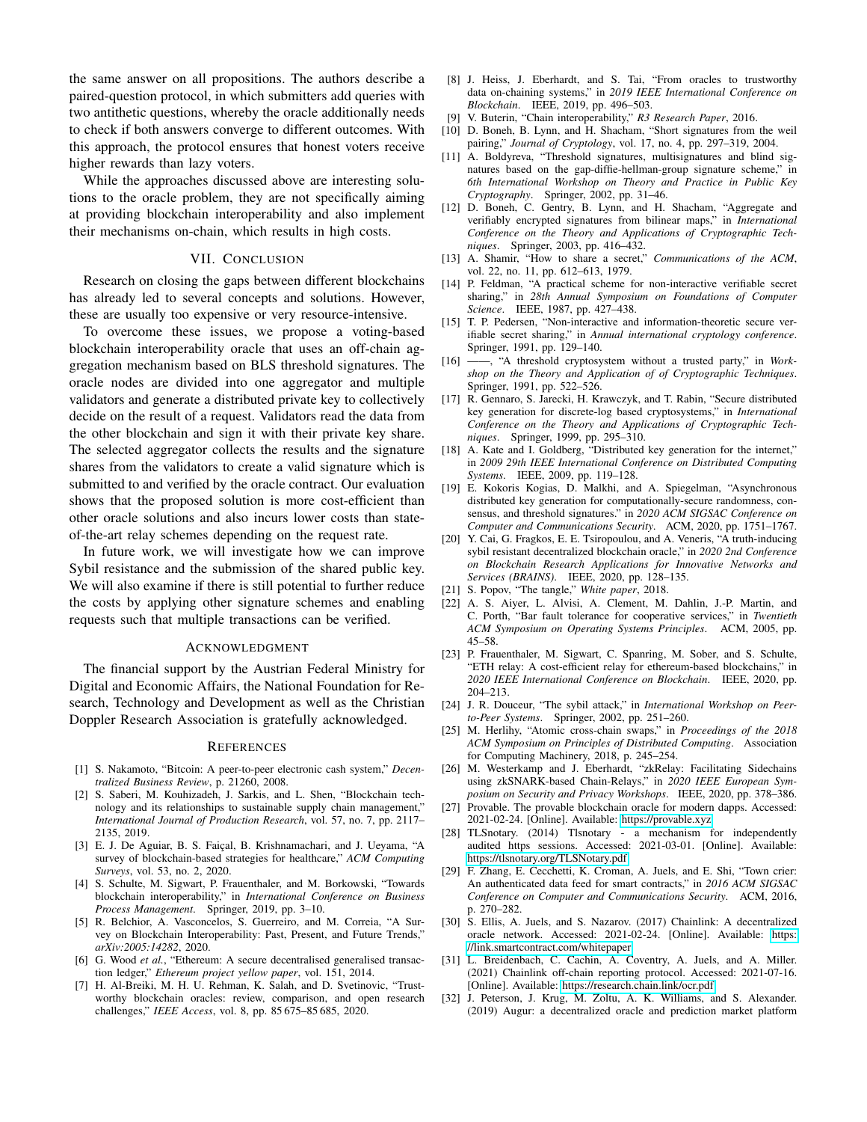the same answer on all propositions. The authors describe a paired-question protocol, in which submitters add queries with two antithetic questions, whereby the oracle additionally needs to check if both answers converge to different outcomes. With this approach, the protocol ensures that honest voters receive higher rewards than lazy voters.

While the approaches discussed above are interesting solutions to the oracle problem, they are not specifically aiming at providing blockchain interoperability and also implement their mechanisms on-chain, which results in high costs.

## VII. CONCLUSION

<span id="page-9-9"></span>Research on closing the gaps between different blockchains has already led to several concepts and solutions. However, these are usually too expensive or very resource-intensive.

To overcome these issues, we propose a voting-based blockchain interoperability oracle that uses an off-chain aggregation mechanism based on BLS threshold signatures. The oracle nodes are divided into one aggregator and multiple validators and generate a distributed private key to collectively decide on the result of a request. Validators read the data from the other blockchain and sign it with their private key share. The selected aggregator collects the results and the signature shares from the validators to create a valid signature which is submitted to and verified by the oracle contract. Our evaluation shows that the proposed solution is more cost-efficient than other oracle solutions and also incurs lower costs than stateof-the-art relay schemes depending on the request rate.

In future work, we will investigate how we can improve Sybil resistance and the submission of the shared public key. We will also examine if there is still potential to further reduce the costs by applying other signature schemes and enabling requests such that multiple transactions can be verified.

#### ACKNOWLEDGMENT

The financial support by the Austrian Federal Ministry for Digital and Economic Affairs, the National Foundation for Research, Technology and Development as well as the Christian Doppler Research Association is gratefully acknowledged.

#### **REFERENCES**

- <span id="page-9-0"></span>[1] S. Nakamoto, "Bitcoin: A peer-to-peer electronic cash system," *Decentralized Business Review*, p. 21260, 2008.
- <span id="page-9-1"></span>[2] S. Saberi, M. Kouhizadeh, J. Sarkis, and L. Shen, "Blockchain technology and its relationships to sustainable supply chain management," *International Journal of Production Research*, vol. 57, no. 7, pp. 2117– 2135, 2019.
- <span id="page-9-2"></span>[3] E. J. De Aguiar, B. S. Faiçal, B. Krishnamachari, and J. Ueyama, "A survey of blockchain-based strategies for healthcare," *ACM Computing Surveys*, vol. 53, no. 2, 2020.
- <span id="page-9-3"></span>[4] S. Schulte, M. Sigwart, P. Frauenthaler, and M. Borkowski, "Towards blockchain interoperability," in *International Conference on Business Process Management*. Springer, 2019, pp. 3–10.
- <span id="page-9-4"></span>[5] R. Belchior, A. Vasconcelos, S. Guerreiro, and M. Correia, "A Survey on Blockchain Interoperability: Past, Present, and Future Trends," *arXiv:2005:14282*, 2020.
- <span id="page-9-5"></span>[6] G. Wood *et al.*, "Ethereum: A secure decentralised generalised transaction ledger," *Ethereum project yellow paper*, vol. 151, 2014.
- <span id="page-9-6"></span>[7] H. Al-Breiki, M. H. U. Rehman, K. Salah, and D. Svetinovic, "Trustworthy blockchain oracles: review, comparison, and open research challenges," *IEEE Access*, vol. 8, pp. 85 675–85 685, 2020.
- <span id="page-9-7"></span>[8] J. Heiss, J. Eberhardt, and S. Tai, "From oracles to trustworthy data on-chaining systems," in *2019 IEEE International Conference on Blockchain*. IEEE, 2019, pp. 496–503.
- <span id="page-9-8"></span>[9] V. Buterin, "Chain interoperability," *R3 Research Paper*, 2016.
- <span id="page-9-10"></span>[10] D. Boneh, B. Lynn, and H. Shacham, "Short signatures from the weil pairing," *Journal of Cryptology*, vol. 17, no. 4, pp. 297–319, 2004.
- <span id="page-9-11"></span>[11] A. Boldyreva, "Threshold signatures, multisignatures and blind signatures based on the gap-diffie-hellman-group signature scheme," in *6th International Workshop on Theory and Practice in Public Key Cryptography*. Springer, 2002, pp. 31–46.
- <span id="page-9-12"></span>[12] D. Boneh, C. Gentry, B. Lynn, and H. Shacham, "Aggregate and verifiably encrypted signatures from bilinear maps," in *International Conference on the Theory and Applications of Cryptographic Techniques*. Springer, 2003, pp. 416–432.
- <span id="page-9-13"></span>[13] A. Shamir, "How to share a secret," *Communications of the ACM*, vol. 22, no. 11, pp. 612–613, 1979.
- <span id="page-9-14"></span>[14] P. Feldman, "A practical scheme for non-interactive verifiable secret sharing," in *28th Annual Symposium on Foundations of Computer Science*. IEEE, 1987, pp. 427–438.
- <span id="page-9-15"></span>[15] T. P. Pedersen, "Non-interactive and information-theoretic secure verifiable secret sharing," in *Annual international cryptology conference*. Springer, 1991, pp. 129–140.
- <span id="page-9-16"></span>[16] ——, "A threshold cryptosystem without a trusted party," in *Workshop on the Theory and Application of of Cryptographic Techniques*. Springer, 1991, pp. 522–526.
- [17] R. Gennaro, S. Jarecki, H. Krawczyk, and T. Rabin, "Secure distributed key generation for discrete-log based cryptosystems," in *International Conference on the Theory and Applications of Cryptographic Techniques*. Springer, 1999, pp. 295–310.
- [18] A. Kate and I. Goldberg, "Distributed key generation for the internet," in *2009 29th IEEE International Conference on Distributed Computing Systems*. IEEE, 2009, pp. 119–128.
- <span id="page-9-17"></span>[19] E. Kokoris Kogias, D. Malkhi, and A. Spiegelman, "Asynchronous distributed key generation for computationally-secure randomness, consensus, and threshold signatures." in *2020 ACM SIGSAC Conference on Computer and Communications Security*. ACM, 2020, pp. 1751–1767.
- <span id="page-9-18"></span>[20] Y. Cai, G. Fragkos, E. E. Tsiropoulou, and A. Veneris, "A truth-inducing sybil resistant decentralized blockchain oracle," in *2020 2nd Conference on Blockchain Research Applications for Innovative Networks and Services (BRAINS)*. IEEE, 2020, pp. 128–135.
- <span id="page-9-19"></span>[21] S. Popov, "The tangle," *White paper*, 2018.
- <span id="page-9-20"></span>[22] A. S. Aiyer, L. Alvisi, A. Clement, M. Dahlin, J.-P. Martin, and C. Porth, "Bar fault tolerance for cooperative services," in *Twentieth ACM Symposium on Operating Systems Principles*. ACM, 2005, pp. 45–58.
- <span id="page-9-21"></span>[23] P. Frauenthaler, M. Sigwart, C. Spanring, M. Sober, and S. Schulte, "ETH relay: A cost-efficient relay for ethereum-based blockchains," in *2020 IEEE International Conference on Blockchain*. IEEE, 2020, pp. 204–213.
- <span id="page-9-22"></span>[24] J. R. Douceur, "The sybil attack," in *International Workshop on Peerto-Peer Systems*. Springer, 2002, pp. 251–260.
- <span id="page-9-23"></span>[25] M. Herlihy, "Atomic cross-chain swaps," in *Proceedings of the 2018 ACM Symposium on Principles of Distributed Computing*. Association for Computing Machinery, 2018, p. 245–254.
- <span id="page-9-24"></span>[26] M. Westerkamp and J. Eberhardt, "zkRelay: Facilitating Sidechains using zkSNARK-based Chain-Relays," in *2020 IEEE European Symposium on Security and Privacy Workshops*. IEEE, 2020, pp. 378–386.
- <span id="page-9-25"></span>[27] Provable. The provable blockchain oracle for modern dapps. Accessed: 2021-02-24. [Online]. Available:<https://provable.xyz>
- <span id="page-9-26"></span>[28] TLSnotary. (2014) Tlsnotary - a mechanism for independently audited https sessions. Accessed: 2021-03-01. [Online]. Available: <https://tlsnotary.org/TLSNotary.pdf>
- <span id="page-9-27"></span>[29] F. Zhang, E. Cecchetti, K. Croman, A. Juels, and E. Shi, "Town crier: An authenticated data feed for smart contracts," in *2016 ACM SIGSAC Conference on Computer and Communications Security*. ACM, 2016, p. 270–282.
- <span id="page-9-28"></span>[30] S. Ellis, A. Juels, and S. Nazarov. (2017) Chainlink: A decentralized oracle network. Accessed: 2021-02-24. [Online]. Available: [https:](https://link.smartcontract.com/whitepaper) [//link.smartcontract.com/whitepaper](https://link.smartcontract.com/whitepaper)
- <span id="page-9-29"></span>[31] L. Breidenbach, C. Cachin, A. Coventry, A. Juels, and A. Miller. (2021) Chainlink off-chain reporting protocol. Accessed: 2021-07-16. [Online]. Available:<https://research.chain.link/ocr.pdf>
- <span id="page-9-30"></span>[32] J. Peterson, J. Krug, M. Zoltu, A. K. Williams, and S. Alexander. (2019) Augur: a decentralized oracle and prediction market platform